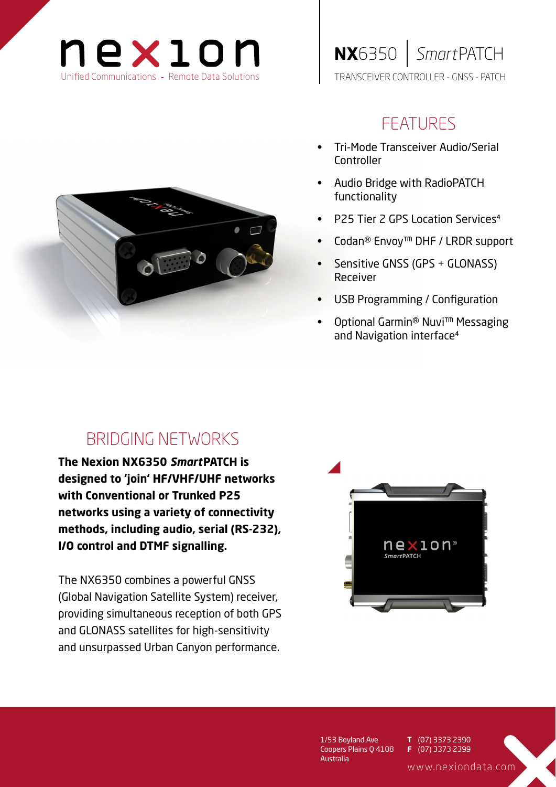



## FEATURES

- Tri-Mode Transceiver Audio/Serial Controller
- Audio Bridge with RadioPATCH functionality
- P25 Tier 2 GPS Location Services
- Codan® Envoy™ DHF / LRDR support
- Sensitive GNSS (GPS + GLONASS) Receiver
- USB Programming / Configuration
- Optional Garmin® Nuvi™ Messaging and Navigation interface

# BRIDGING NETWORKS

**The Nexion NX6350** *Smart***PATCH is designed to 'join' HF/VHF/UHF networks with Conventional or Trunked P25 networks using a variety of connectivity methods, including audio, serial (RS-232), I/O control and DTMF signalling.**

The NX6350 combines a powerful GNSS (Global Navigation Satellite System) receiver, providing simultaneous reception of both GPS and GLONASS satellites for high-sensitivity and unsurpassed Urban Canyon performance.



1/53 Boyland Ave Coopers Plains Q 4108 Australia

(07) 3373 2390 (07) 3373 2399 **T F**